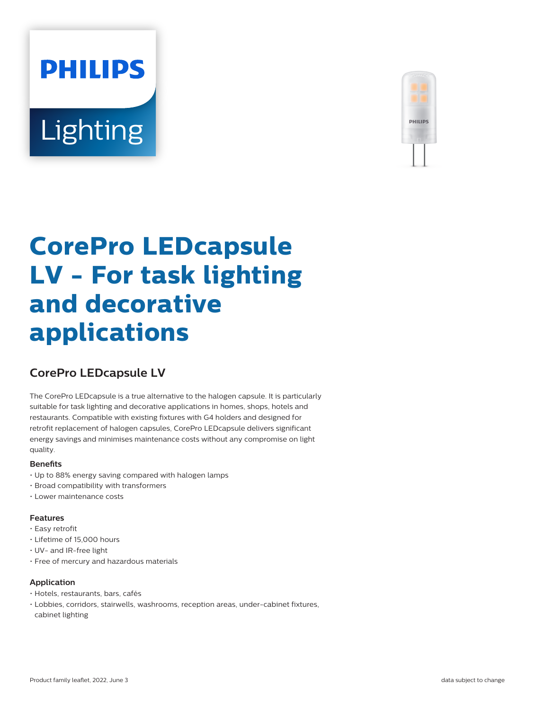# **PHILIPS Lighting**



# **CorePro LEDcapsule LV - For task lighting and decorative applications**

# **CorePro LEDcapsule LV**

The CorePro LEDcapsule is a true alternative to the halogen capsule. It is particularly suitable for task lighting and decorative applications in homes, shops, hotels and restaurants. Compatible with existing fixtures with G4 holders and designed for retrofit replacement of halogen capsules, CorePro LEDcapsule delivers significant energy savings and minimises maintenance costs without any compromise on light quality.

#### **Benefits**

- Up to 88% energy saving compared with halogen lamps
- Broad compatibility with transformers
- Lower maintenance costs

#### **Features**

- Easy retrofit
- Lifetime of 15,000 hours
- UV- and IR-free light
- Free of mercury and hazardous materials

#### **Application**

- Hotels, restaurants, bars, cafés
- Lobbies, corridors, stairwells, washrooms, reception areas, under-cabinet fixtures, cabinet lighting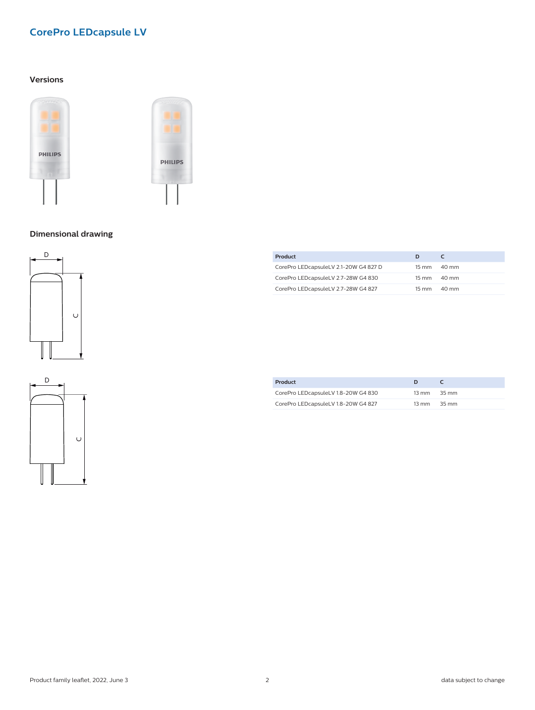## **CorePro LEDcapsule LV**

#### **Versions**





#### **Dimensional drawing**





| Product                               | D     |                 |
|---------------------------------------|-------|-----------------|
| CorePro LEDcapsuleLV 2.1-20W G4 827 D | 15 mm | $40 \text{ mm}$ |
| CorePro LEDcapsuleLV 2.7-28W G4 830   | 15 mm | 40 mm           |
| CorePro LEDcapsuleLV 2.7-28W G4 827   | 15 mm | $40 \text{ mm}$ |

| Product                             |                                 |  |
|-------------------------------------|---------------------------------|--|
| CorePro LEDcapsuleLV 1.8-20W G4 830 | $13 \text{ mm}$ $35 \text{ mm}$ |  |
| CorePro LEDcapsuleLV 1.8-20W G4 827 | $13 \text{ mm}$ $35 \text{ mm}$ |  |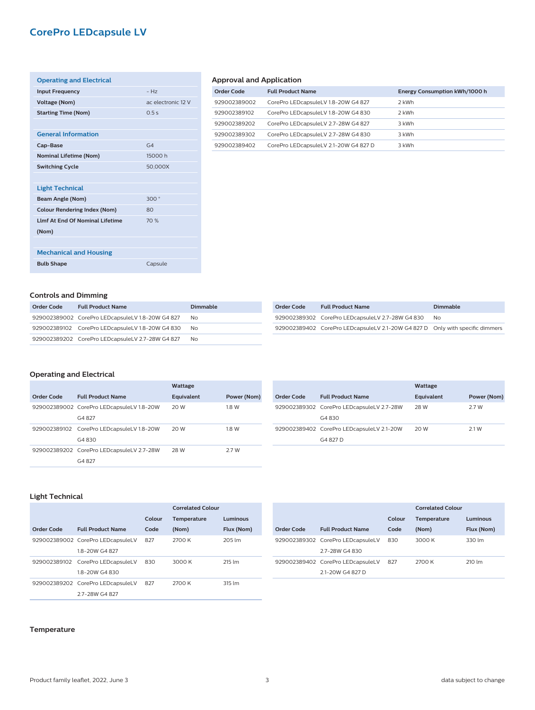### **CorePro LEDcapsule LV**

| <b>Operating and Electrical</b>         |                    |
|-----------------------------------------|--------------------|
| <b>Input Frequency</b>                  | $-Hz$              |
| <b>Voltage (Nom)</b>                    | ac electronic 12 V |
| <b>Starting Time (Nom)</b>              | 0.5s               |
|                                         |                    |
| <b>General Information</b>              |                    |
| Cap-Base                                | G <sub>4</sub>     |
| <b>Nominal Lifetime (Nom)</b>           | 15000h             |
| <b>Switching Cycle</b>                  | 50,000X            |
|                                         |                    |
| <b>Light Technical</b>                  |                    |
| Beam Angle (Nom)                        | 300°               |
| <b>Colour Rendering Index (Nom)</b>     | 80                 |
| <b>I Imf At Fnd Of Nominal Lifetime</b> | 70%                |
| (Nom)                                   |                    |
|                                         |                    |
| <b>Mechanical and Housing</b>           |                    |
| <b>Bulb Shape</b>                       | Capsule            |
|                                         |                    |

#### **Approval and Application**

| Order Code   | <b>Full Product Name</b>              | Energy Consumption kWh/1000 h |
|--------------|---------------------------------------|-------------------------------|
| 929002389002 | CorePro LEDcapsuleLV 1.8-20W G4 827   | 2 kWh                         |
| 929002389102 | CorePro LEDcapsuleLV 1.8-20W G4 830   | 2 kWh                         |
| 929002389202 | CorePro LEDcapsuleLV 2.7-28W G4 827   | 3 kWh                         |
| 929002389302 | CorePro LEDcapsuleLV 2.7-28W G4 830   | 3 kWh                         |
| 929002389402 | CorePro LEDcapsuleLV 2.1-20W G4 827 D | 3 kWh                         |

#### **Controls and Dimming**

| Order Code | <b>Full Product Name</b>                         | <b>Dimmable</b> | Order Code | <b>Full Product Nam</b>      |
|------------|--------------------------------------------------|-----------------|------------|------------------------------|
|            | 929002389002 CorePro LEDcapsuleLV 1.8-20W G4 827 | No.             |            | 929002389302 CorePro LEDcaps |
|            | 929002389102 CorePro LEDcapsuleLV 1.8-20W G4 830 | - No            |            | 929002389402 CorePro LEDcaps |
|            | 929002389202 CorePro LEDcapsuleLV 2.7-28W G4 827 | No.             |            |                              |

| <b>Order Code</b> | <b>Full Product Name</b>                                                      | Dimmable |
|-------------------|-------------------------------------------------------------------------------|----------|
|                   | 929002389302 CorePro LEDcapsuleLV 2.7-28W G4 830                              | No.      |
|                   | 929002389402 CorePro LEDcapsuleLV 2.1-20W G4 827 D Only with specific dimmers |          |

#### **Operating and Electrical**

|            |                                                    | Wattage    |             |
|------------|----------------------------------------------------|------------|-------------|
| Order Code | <b>Full Product Name</b>                           | Equivalent | Power (Nom) |
|            | 929002389002 CorePro LEDcapsuleLV 1.8-20W<br>G4827 | 20 W       | 1.8 W       |
|            | 929002389102 CorePro LEDcapsuleLV 1.8-20W<br>G4830 | 20 W       | 1.8 W       |
|            | 929002389202 CorePro LEDcapsuleLV 2.7-28W<br>G4827 | 28 W       | 27W         |

|                   |                                                       | Wattage    |             |
|-------------------|-------------------------------------------------------|------------|-------------|
| <b>Order Code</b> | <b>Full Product Name</b>                              | Equivalent | Power (Nom) |
|                   | 929002389302 CorePro LEDcapsuleLV 2.7-28W<br>G4830    | 28 W       | 2.7 W       |
|                   | 929002389402 CorePro LEDcapsuleLV 2.1-20W<br>G4 827 D | 20 W       | 2.1 W       |

#### **Light Technical**

|            |                                   |        | <b>Correlated Colour</b> |                    |
|------------|-----------------------------------|--------|--------------------------|--------------------|
|            |                                   | Colour | <b>Temperature</b>       | Luminous           |
| Order Code | <b>Full Product Name</b>          | Code   | (Nom)                    | Flux (Nom)         |
|            | 929002389002 CorePro LEDcapsuleLV | 827    | 2700 K                   | 205 lm             |
|            | 18-20W G4827                      |        |                          |                    |
|            | 929002389102 CorePro LEDcapsuleLV | 830    | 3000 K                   | $215 \, \text{Im}$ |
|            | 1.8-20W G4 830                    |        |                          |                    |
|            | 929002389202 CorePro LEDcapsuleLV | 827    | 2700 K                   | 315 lm             |
|            | 2.7-28W G4 827                    |        |                          |                    |

|            |                                   |        | Correlated Colour  |            |
|------------|-----------------------------------|--------|--------------------|------------|
|            |                                   | Colour | <b>Temperature</b> | Luminous   |
| Order Code | <b>Full Product Name</b>          | Code   | (Nom)              | Flux (Nom) |
|            | 929002389302 CorePro LEDcapsuleLV | 830    | 3000 K             | 330 lm     |
|            | 2.7-28W G4 830                    |        |                    |            |
|            | 929002389402 CorePro LEDcapsuleLV | 827    | 2700 K             | 210 lm     |
|            | 21-20W G4 827 D                   |        |                    |            |

#### **Temperature**